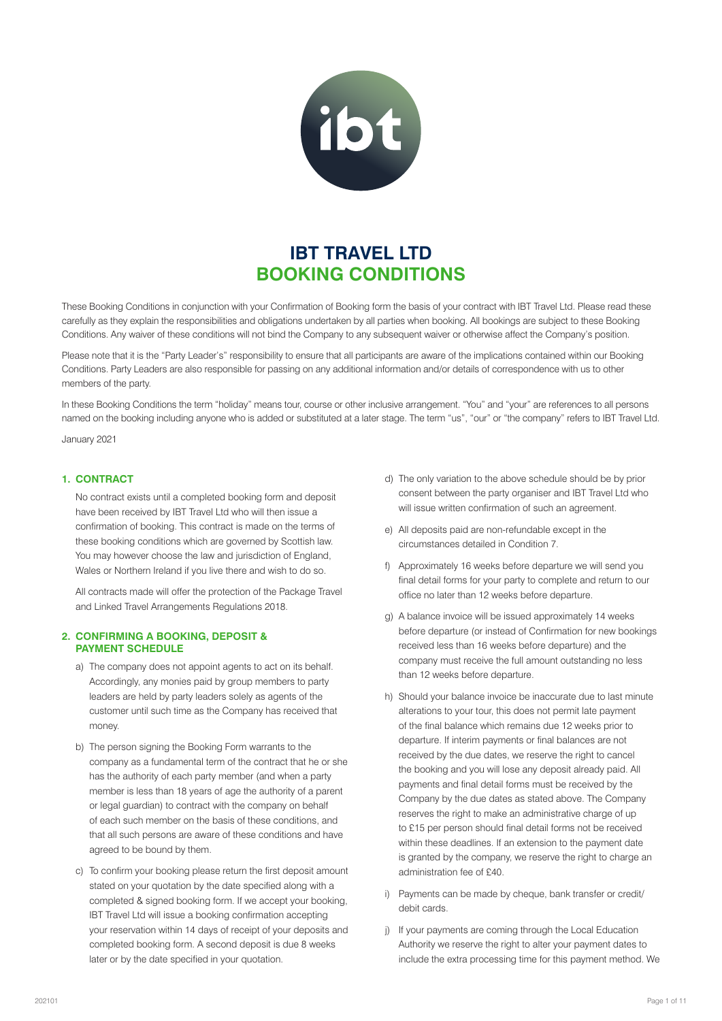

# **IBT TRAVEL LTD BOOKING CONDITIONS**

These Booking Conditions in conjunction with your Confirmation of Booking form the basis of your contract with IBT Travel Ltd. Please read these carefully as they explain the responsibilities and obligations undertaken by all parties when booking. All bookings are subject to these Booking Conditions. Any waiver of these conditions will not bind the Company to any subsequent waiver or otherwise affect the Company's position.

Please note that it is the "Party Leader's" responsibility to ensure that all participants are aware of the implications contained within our Booking Conditions. Party Leaders are also responsible for passing on any additional information and/or details of correspondence with us to other members of the party.

In these Booking Conditions the term "holiday" means tour, course or other inclusive arrangement. "You" and "your" are references to all persons named on the booking including anyone who is added or substituted at a later stage. The term "us", "our" or "the company" refers to IBT Travel Ltd.

January 2021

# **1. CONTRACT**

No contract exists until a completed booking form and deposit have been received by IBT Travel Ltd who will then issue a confirmation of booking. This contract is made on the terms of these booking conditions which are governed by Scottish law. You may however choose the law and jurisdiction of England, Wales or Northern Ireland if you live there and wish to do so.

All contracts made will offer the protection of the Package Travel and Linked Travel Arrangements Regulations 2018.

#### **2. CONFIRMING A BOOKING, DEPOSIT & PAYMENT SCHEDULE**

- a) The company does not appoint agents to act on its behalf. Accordingly, any monies paid by group members to party leaders are held by party leaders solely as agents of the customer until such time as the Company has received that money.
- b) The person signing the Booking Form warrants to the company as a fundamental term of the contract that he or she has the authority of each party member (and when a party member is less than 18 years of age the authority of a parent or legal guardian) to contract with the company on behalf of each such member on the basis of these conditions, and that all such persons are aware of these conditions and have agreed to be bound by them.
- c) To confirm your booking please return the first deposit amount stated on your quotation by the date specified along with a completed & signed booking form. If we accept your booking, IBT Travel Ltd will issue a booking confirmation accepting your reservation within 14 days of receipt of your deposits and completed booking form. A second deposit is due 8 weeks later or by the date specified in your quotation.
- d) The only variation to the above schedule should be by prior consent between the party organiser and IBT Travel Ltd who will issue written confirmation of such an agreement.
- e) All deposits paid are non-refundable except in the circumstances detailed in Condition 7.
- f) Approximately 16 weeks before departure we will send you final detail forms for your party to complete and return to our office no later than 12 weeks before departure.
- g) A balance invoice will be issued approximately 14 weeks before departure (or instead of Confirmation for new bookings received less than 16 weeks before departure) and the company must receive the full amount outstanding no less than 12 weeks before departure.
- h) Should your balance invoice be inaccurate due to last minute alterations to your tour, this does not permit late payment of the final balance which remains due 12 weeks prior to departure. If interim payments or final balances are not received by the due dates, we reserve the right to cancel the booking and you will lose any deposit already paid. All payments and final detail forms must be received by the Company by the due dates as stated above. The Company reserves the right to make an administrative charge of up to £15 per person should final detail forms not be received within these deadlines. If an extension to the payment date is granted by the company, we reserve the right to charge an administration fee of £40.
- i) Payments can be made by cheque, bank transfer or credit/ debit cards.
- j) If your payments are coming through the Local Education Authority we reserve the right to alter your payment dates to include the extra processing time for this payment method. We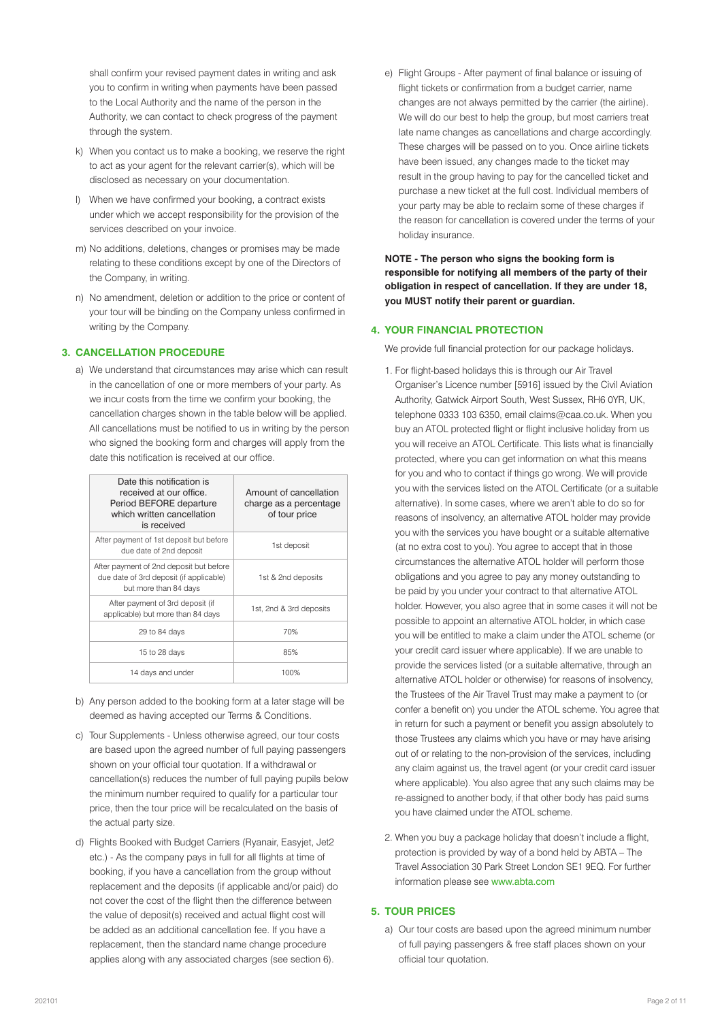shall confirm your revised payment dates in writing and ask you to confirm in writing when payments have been passed to the Local Authority and the name of the person in the Authority, we can contact to check progress of the payment through the system.

- k) When you contact us to make a booking, we reserve the right to act as your agent for the relevant carrier(s), which will be disclosed as necessary on your documentation.
- l) When we have confirmed your booking, a contract exists under which we accept responsibility for the provision of the services described on your invoice.
- m) No additions, deletions, changes or promises may be made relating to these conditions except by one of the Directors of the Company, in writing.
- n) No amendment, deletion or addition to the price or content of your tour will be binding on the Company unless confirmed in writing by the Company.

# **3. CANCELLATION PROCEDURE**

a) We understand that circumstances may arise which can result in the cancellation of one or more members of your party. As we incur costs from the time we confirm your booking, the cancellation charges shown in the table below will be applied. All cancellations must be notified to us in writing by the person who signed the booking form and charges will apply from the date this notification is received at our office.

| Date this notification is<br>received at our office.<br>Period BEFORE departure<br>which written cancellation<br>is received | Amount of cancellation<br>charge as a percentage<br>of tour price |
|------------------------------------------------------------------------------------------------------------------------------|-------------------------------------------------------------------|
| After payment of 1st deposit but before<br>due date of 2nd deposit                                                           | 1st deposit                                                       |
| After payment of 2nd deposit but before<br>due date of 3rd deposit (if applicable)<br>but more than 84 days                  | 1st & 2nd deposits                                                |
| After payment of 3rd deposit (if<br>applicable) but more than 84 days                                                        | 1st, 2nd & 3rd deposits                                           |
| 29 to 84 days                                                                                                                | 70%                                                               |
| 15 to 28 days                                                                                                                | 85%                                                               |
| 14 days and under                                                                                                            | 100%                                                              |

- b) Any person added to the booking form at a later stage will be deemed as having accepted our Terms & Conditions.
- c) Tour Supplements Unless otherwise agreed, our tour costs are based upon the agreed number of full paying passengers shown on your official tour quotation. If a withdrawal or cancellation(s) reduces the number of full paying pupils below the minimum number required to qualify for a particular tour price, then the tour price will be recalculated on the basis of the actual party size.
- d) Flights Booked with Budget Carriers (Ryanair, Easyjet, Jet2 etc.) - As the company pays in full for all flights at time of booking, if you have a cancellation from the group without replacement and the deposits (if applicable and/or paid) do not cover the cost of the flight then the difference between the value of deposit(s) received and actual flight cost will be added as an additional cancellation fee. If you have a replacement, then the standard name change procedure applies along with any associated charges (see section 6).

e) Flight Groups - After payment of final balance or issuing of flight tickets or confirmation from a budget carrier, name changes are not always permitted by the carrier (the airline). We will do our best to help the group, but most carriers treat late name changes as cancellations and charge accordingly. These charges will be passed on to you. Once airline tickets have been issued, any changes made to the ticket may result in the group having to pay for the cancelled ticket and purchase a new ticket at the full cost. Individual members of your party may be able to reclaim some of these charges if the reason for cancellation is covered under the terms of your holiday insurance.

**NOTE - The person who signs the booking form is responsible for notifying all members of the party of their obligation in respect of cancellation. If they are under 18, you MUST notify their parent or guardian.**

# **4. YOUR FINANCIAL PROTECTION**

We provide full financial protection for our package holidays.

- 1. For flight-based holidays this is through our Air Travel Organiser's Licence number [5916] issued by the Civil Aviation Authority, Gatwick Airport South, West Sussex, RH6 0YR, UK, telephone 0333 103 6350, email claims@caa.co.uk. When you buy an ATOL protected flight or flight inclusive holiday from us you will receive an ATOL Certificate. This lists what is financially protected, where you can get information on what this means for you and who to contact if things go wrong. We will provide you with the services listed on the ATOL Certificate (or a suitable alternative). In some cases, where we aren't able to do so for reasons of insolvency, an alternative ATOL holder may provide you with the services you have bought or a suitable alternative (at no extra cost to you). You agree to accept that in those circumstances the alternative ATOL holder will perform those obligations and you agree to pay any money outstanding to be paid by you under your contract to that alternative ATOL holder. However, you also agree that in some cases it will not be possible to appoint an alternative ATOL holder, in which case you will be entitled to make a claim under the ATOL scheme (or your credit card issuer where applicable). If we are unable to provide the services listed (or a suitable alternative, through an alternative ATOL holder or otherwise) for reasons of insolvency, the Trustees of the Air Travel Trust may make a payment to (or confer a benefit on) you under the ATOL scheme. You agree that in return for such a payment or benefit you assign absolutely to those Trustees any claims which you have or may have arising out of or relating to the non-provision of the services, including any claim against us, the travel agent (or your credit card issuer where applicable). You also agree that any such claims may be re-assigned to another body, if that other body has paid sums you have claimed under the ATOL scheme.
- 2. When you buy a package holiday that doesn't include a flight, protection is provided by way of a bond held by ABTA – The Travel Association 30 Park Street London SE1 9EQ. For further information please see www.abta.com

# **5. TOUR PRICES**

a) Our tour costs are based upon the agreed minimum number of full paying passengers & free staff places shown on your official tour quotation.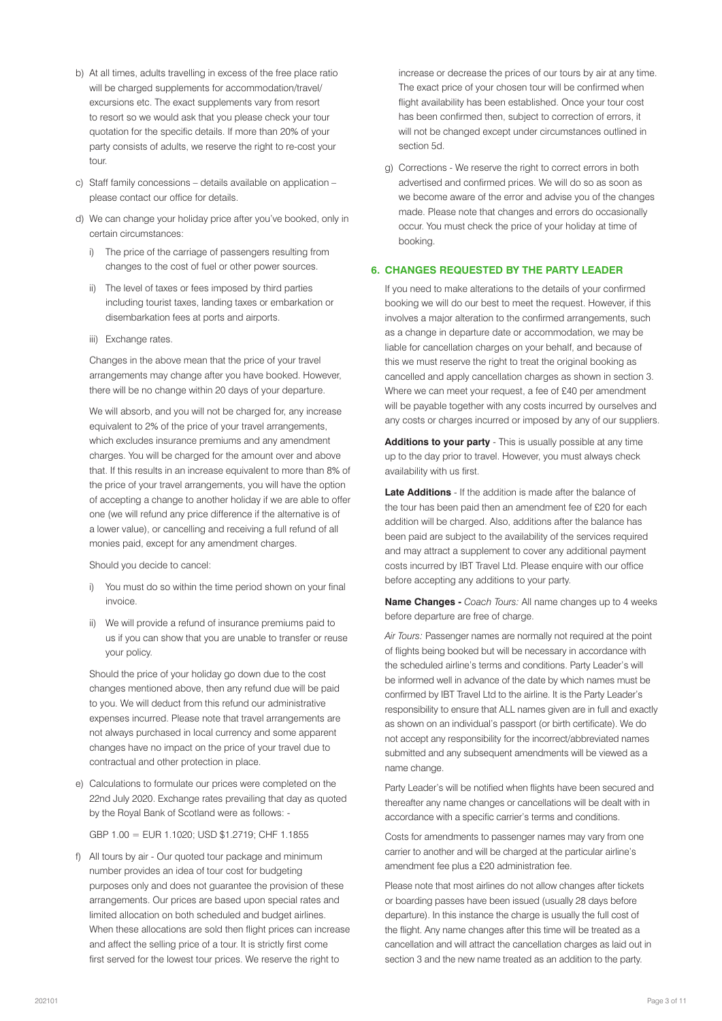- b) At all times, adults travelling in excess of the free place ratio will be charged supplements for accommodation/travel/ excursions etc. The exact supplements vary from resort to resort so we would ask that you please check your tour quotation for the specific details. If more than 20% of your party consists of adults, we reserve the right to re-cost your tour.
- c) Staff family concessions details available on application please contact our office for details.
- d) We can change your holiday price after you've booked, only in certain circumstances:
	- i) The price of the carriage of passengers resulting from changes to the cost of fuel or other power sources.
	- ii) The level of taxes or fees imposed by third parties including tourist taxes, landing taxes or embarkation or disembarkation fees at ports and airports.
	- iii) Exchange rates.

Changes in the above mean that the price of your travel arrangements may change after you have booked. However, there will be no change within 20 days of your departure.

We will absorb, and you will not be charged for, any increase equivalent to 2% of the price of your travel arrangements, which excludes insurance premiums and any amendment charges. You will be charged for the amount over and above that. If this results in an increase equivalent to more than 8% of the price of your travel arrangements, you will have the option of accepting a change to another holiday if we are able to offer one (we will refund any price difference if the alternative is of a lower value), or cancelling and receiving a full refund of all monies paid, except for any amendment charges.

Should you decide to cancel:

- i) You must do so within the time period shown on your final invoice.
- ii) We will provide a refund of insurance premiums paid to us if you can show that you are unable to transfer or reuse your policy.

Should the price of your holiday go down due to the cost changes mentioned above, then any refund due will be paid to you. We will deduct from this refund our administrative expenses incurred. Please note that travel arrangements are not always purchased in local currency and some apparent changes have no impact on the price of your travel due to contractual and other protection in place.

e) Calculations to formulate our prices were completed on the 22nd July 2020. Exchange rates prevailing that day as quoted by the Royal Bank of Scotland were as follows: -

GBP 1.00 = EUR 1.1020; USD \$1.2719; CHF 1.1855

f) All tours by air - Our quoted tour package and minimum number provides an idea of tour cost for budgeting purposes only and does not guarantee the provision of these arrangements. Our prices are based upon special rates and limited allocation on both scheduled and budget airlines. When these allocations are sold then flight prices can increase and affect the selling price of a tour. It is strictly first come first served for the lowest tour prices. We reserve the right to

increase or decrease the prices of our tours by air at any time. The exact price of your chosen tour will be confirmed when flight availability has been established. Once your tour cost has been confirmed then, subject to correction of errors, it will not be changed except under circumstances outlined in section 5d.

g) Corrections - We reserve the right to correct errors in both advertised and confirmed prices. We will do so as soon as we become aware of the error and advise you of the changes made. Please note that changes and errors do occasionally occur. You must check the price of your holiday at time of booking.

#### **6. CHANGES REQUESTED BY THE PARTY LEADER**

If you need to make alterations to the details of your confirmed booking we will do our best to meet the request. However, if this involves a major alteration to the confirmed arrangements, such as a change in departure date or accommodation, we may be liable for cancellation charges on your behalf, and because of this we must reserve the right to treat the original booking as cancelled and apply cancellation charges as shown in section 3. Where we can meet your request, a fee of £40 per amendment will be payable together with any costs incurred by ourselves and any costs or charges incurred or imposed by any of our suppliers.

**Additions to your party** - This is usually possible at any time up to the day prior to travel. However, you must always check availability with us first.

**Late Additions** - If the addition is made after the balance of the tour has been paid then an amendment fee of £20 for each addition will be charged. Also, additions after the balance has been paid are subject to the availability of the services required and may attract a supplement to cover any additional payment costs incurred by IBT Travel Ltd. Please enquire with our office before accepting any additions to your party.

**Name Changes -** *Coach Tours:* All name changes up to 4 weeks before departure are free of charge.

*Air Tours:* Passenger names are normally not required at the point of flights being booked but will be necessary in accordance with the scheduled airline's terms and conditions. Party Leader's will be informed well in advance of the date by which names must be confirmed by IBT Travel Ltd to the airline. It is the Party Leader's responsibility to ensure that ALL names given are in full and exactly as shown on an individual's passport (or birth certificate). We do not accept any responsibility for the incorrect/abbreviated names submitted and any subsequent amendments will be viewed as a name change.

Party Leader's will be notified when flights have been secured and thereafter any name changes or cancellations will be dealt with in accordance with a specific carrier's terms and conditions.

Costs for amendments to passenger names may vary from one carrier to another and will be charged at the particular airline's amendment fee plus a £20 administration fee.

Please note that most airlines do not allow changes after tickets or boarding passes have been issued (usually 28 days before departure). In this instance the charge is usually the full cost of the flight. Any name changes after this time will be treated as a cancellation and will attract the cancellation charges as laid out in section 3 and the new name treated as an addition to the party.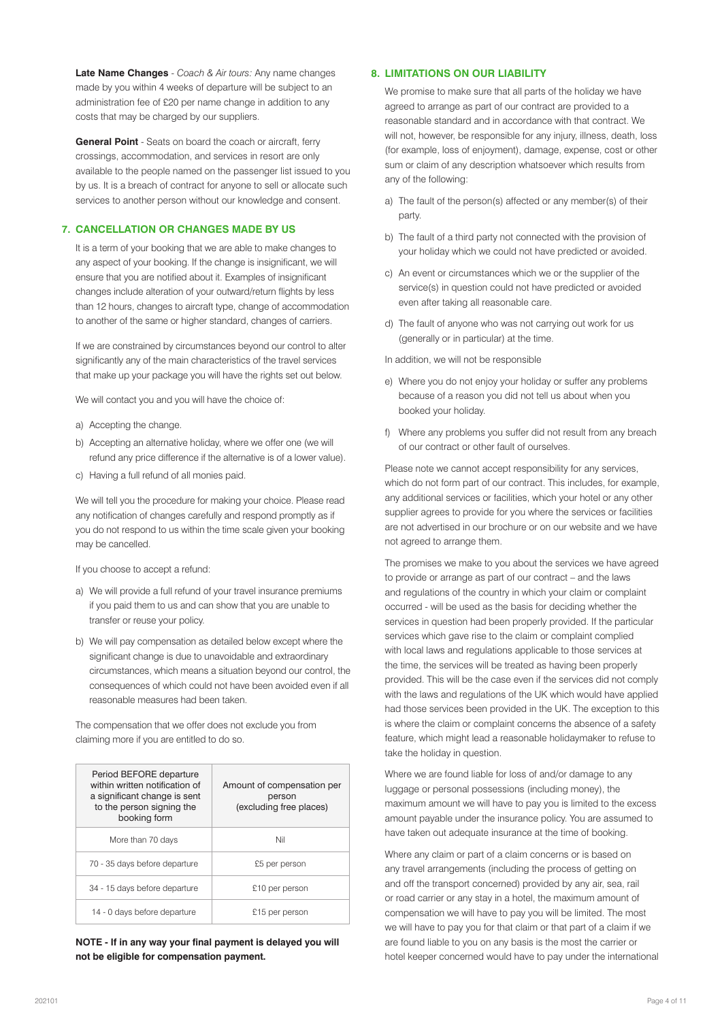**Late Name Changes** - *Coach & Air tours:* Any name changes made by you within 4 weeks of departure will be subject to an administration fee of £20 per name change in addition to any costs that may be charged by our suppliers.

**General Point** - Seats on board the coach or aircraft, ferry crossings, accommodation, and services in resort are only available to the people named on the passenger list issued to you by us. It is a breach of contract for anyone to sell or allocate such services to another person without our knowledge and consent.

## **7. CANCELLATION OR CHANGES MADE BY US**

It is a term of your booking that we are able to make changes to any aspect of your booking. If the change is insignificant, we will ensure that you are notified about it. Examples of insignificant changes include alteration of your outward/return flights by less than 12 hours, changes to aircraft type, change of accommodation to another of the same or higher standard, changes of carriers.

If we are constrained by circumstances beyond our control to alter significantly any of the main characteristics of the travel services that make up your package you will have the rights set out below.

We will contact you and you will have the choice of:

- a) Accepting the change.
- b) Accepting an alternative holiday, where we offer one (we will refund any price difference if the alternative is of a lower value).
- c) Having a full refund of all monies paid.

We will tell you the procedure for making your choice. Please read any notification of changes carefully and respond promptly as if you do not respond to us within the time scale given your booking may be cancelled.

If you choose to accept a refund:

- a) We will provide a full refund of your travel insurance premiums if you paid them to us and can show that you are unable to transfer or reuse your policy.
- b) We will pay compensation as detailed below except where the significant change is due to unavoidable and extraordinary circumstances, which means a situation beyond our control, the consequences of which could not have been avoided even if all reasonable measures had been taken.

The compensation that we offer does not exclude you from claiming more if you are entitled to do so.

| Period BEFORE departure<br>within written notification of<br>a significant change is sent<br>to the person signing the<br>booking form | Amount of compensation per<br>person<br>(excluding free places) |
|----------------------------------------------------------------------------------------------------------------------------------------|-----------------------------------------------------------------|
| More than 70 days                                                                                                                      | Nil                                                             |
| 70 - 35 days before departure                                                                                                          | £5 per person                                                   |
| 34 - 15 days before departure                                                                                                          | £10 per person                                                  |
| 14 - 0 days before departure                                                                                                           | £15 per person                                                  |

**NOTE - If in any way your final payment is delayed you will not be eligible for compensation payment.** 

# **8. LIMITATIONS ON OUR LIABILITY**

We promise to make sure that all parts of the holiday we have agreed to arrange as part of our contract are provided to a reasonable standard and in accordance with that contract. We will not, however, be responsible for any injury, illness, death, loss (for example, loss of enjoyment), damage, expense, cost or other sum or claim of any description whatsoever which results from any of the following:

- a) The fault of the person(s) affected or any member(s) of their party.
- b) The fault of a third party not connected with the provision of your holiday which we could not have predicted or avoided.
- c) An event or circumstances which we or the supplier of the service(s) in question could not have predicted or avoided even after taking all reasonable care.
- d) The fault of anyone who was not carrying out work for us (generally or in particular) at the time.

In addition, we will not be responsible

- e) Where you do not enjoy your holiday or suffer any problems because of a reason you did not tell us about when you booked your holiday.
- f) Where any problems you suffer did not result from any breach of our contract or other fault of ourselves.

Please note we cannot accept responsibility for any services, which do not form part of our contract. This includes, for example, any additional services or facilities, which your hotel or any other supplier agrees to provide for you where the services or facilities are not advertised in our brochure or on our website and we have not agreed to arrange them.

The promises we make to you about the services we have agreed to provide or arrange as part of our contract – and the laws and regulations of the country in which your claim or complaint occurred - will be used as the basis for deciding whether the services in question had been properly provided. If the particular services which gave rise to the claim or complaint complied with local laws and regulations applicable to those services at the time, the services will be treated as having been properly provided. This will be the case even if the services did not comply with the laws and regulations of the UK which would have applied had those services been provided in the UK. The exception to this is where the claim or complaint concerns the absence of a safety feature, which might lead a reasonable holidaymaker to refuse to take the holiday in question.

Where we are found liable for loss of and/or damage to any luggage or personal possessions (including money), the maximum amount we will have to pay you is limited to the excess amount payable under the insurance policy. You are assumed to have taken out adequate insurance at the time of booking.

Where any claim or part of a claim concerns or is based on any travel arrangements (including the process of getting on and off the transport concerned) provided by any air, sea, rail or road carrier or any stay in a hotel, the maximum amount of compensation we will have to pay you will be limited. The most we will have to pay you for that claim or that part of a claim if we are found liable to you on any basis is the most the carrier or hotel keeper concerned would have to pay under the international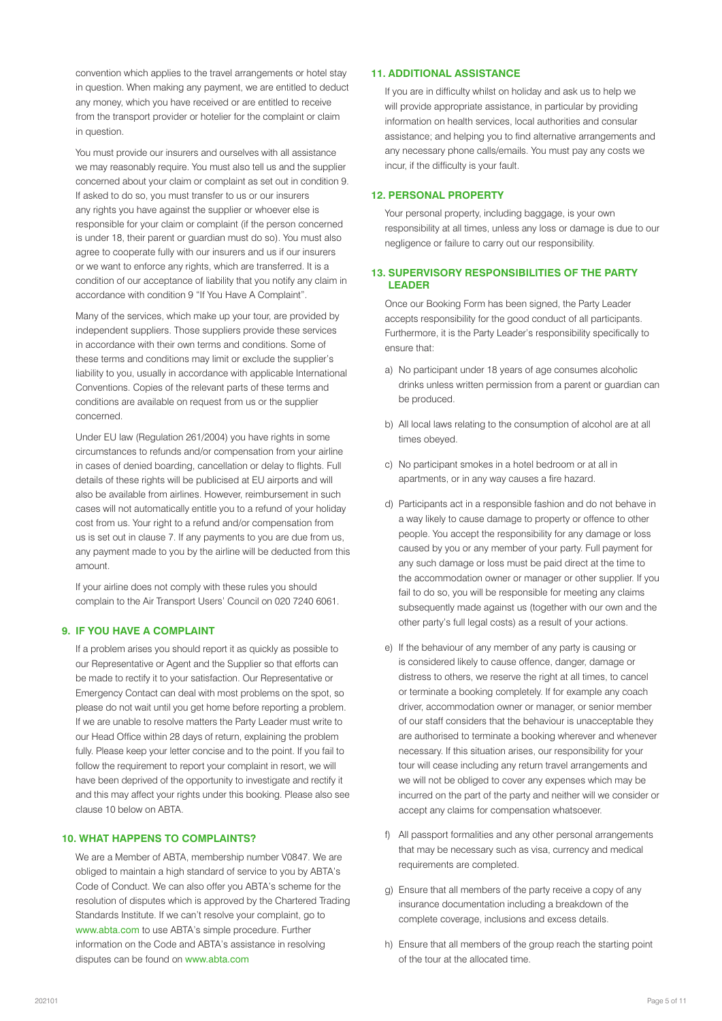convention which applies to the travel arrangements or hotel stay in question. When making any payment, we are entitled to deduct any money, which you have received or are entitled to receive from the transport provider or hotelier for the complaint or claim in question.

You must provide our insurers and ourselves with all assistance we may reasonably require. You must also tell us and the supplier concerned about your claim or complaint as set out in condition 9. If asked to do so, you must transfer to us or our insurers any rights you have against the supplier or whoever else is responsible for your claim or complaint (if the person concerned is under 18, their parent or guardian must do so). You must also agree to cooperate fully with our insurers and us if our insurers or we want to enforce any rights, which are transferred. It is a condition of our acceptance of liability that you notify any claim in accordance with condition 9 "If You Have A Complaint".

Many of the services, which make up your tour, are provided by independent suppliers. Those suppliers provide these services in accordance with their own terms and conditions. Some of these terms and conditions may limit or exclude the supplier's liability to you, usually in accordance with applicable International Conventions. Copies of the relevant parts of these terms and conditions are available on request from us or the supplier concerned.

Under EU law (Regulation 261/2004) you have rights in some circumstances to refunds and/or compensation from your airline in cases of denied boarding, cancellation or delay to flights. Full details of these rights will be publicised at EU airports and will also be available from airlines. However, reimbursement in such cases will not automatically entitle you to a refund of your holiday cost from us. Your right to a refund and/or compensation from us is set out in clause 7. If any payments to you are due from us, any payment made to you by the airline will be deducted from this amount.

If your airline does not comply with these rules you should complain to the Air Transport Users' Council on 020 7240 6061.

# **9. IF YOU HAVE A COMPLAINT**

If a problem arises you should report it as quickly as possible to our Representative or Agent and the Supplier so that efforts can be made to rectify it to your satisfaction. Our Representative or Emergency Contact can deal with most problems on the spot, so please do not wait until you get home before reporting a problem. If we are unable to resolve matters the Party Leader must write to our Head Office within 28 days of return, explaining the problem fully. Please keep your letter concise and to the point. If you fail to follow the requirement to report your complaint in resort, we will have been deprived of the opportunity to investigate and rectify it and this may affect your rights under this booking. Please also see clause 10 below on ABTA.

# **10. WHAT HAPPENS TO COMPLAINTS?**

We are a Member of ABTA, membership number V0847. We are obliged to maintain a high standard of service to you by ABTA's Code of Conduct. We can also offer you ABTA's scheme for the resolution of disputes which is approved by the Chartered Trading Standards Institute. If we can't resolve your complaint, go to www.abta.com to use ABTA's simple procedure. Further information on the Code and ABTA's assistance in resolving disputes can be found on www.abta.com

# **11. ADDITIONAL ASSISTANCE**

If you are in difficulty whilst on holiday and ask us to help we will provide appropriate assistance, in particular by providing information on health services, local authorities and consular assistance; and helping you to find alternative arrangements and any necessary phone calls/emails. You must pay any costs we incur, if the difficulty is your fault.

#### **12. PERSONAL PROPERTY**

Your personal property, including baggage, is your own responsibility at all times, unless any loss or damage is due to our negligence or failure to carry out our responsibility.

## **13. SUPERVISORY RESPONSIBILITIES OF THE PARTY LEADER**

Once our Booking Form has been signed, the Party Leader accepts responsibility for the good conduct of all participants. Furthermore, it is the Party Leader's responsibility specifically to ensure that:

- a) No participant under 18 years of age consumes alcoholic drinks unless written permission from a parent or guardian can be produced.
- b) All local laws relating to the consumption of alcohol are at all times obeyed.
- c) No participant smokes in a hotel bedroom or at all in apartments, or in any way causes a fire hazard.
- d) Participants act in a responsible fashion and do not behave in a way likely to cause damage to property or offence to other people. You accept the responsibility for any damage or loss caused by you or any member of your party. Full payment for any such damage or loss must be paid direct at the time to the accommodation owner or manager or other supplier. If you fail to do so, you will be responsible for meeting any claims subsequently made against us (together with our own and the other party's full legal costs) as a result of your actions.
- e) If the behaviour of any member of any party is causing or is considered likely to cause offence, danger, damage or distress to others, we reserve the right at all times, to cancel or terminate a booking completely. If for example any coach driver, accommodation owner or manager, or senior member of our staff considers that the behaviour is unacceptable they are authorised to terminate a booking wherever and whenever necessary. If this situation arises, our responsibility for your tour will cease including any return travel arrangements and we will not be obliged to cover any expenses which may be incurred on the part of the party and neither will we consider or accept any claims for compensation whatsoever.
- f) All passport formalities and any other personal arrangements that may be necessary such as visa, currency and medical requirements are completed.
- g) Ensure that all members of the party receive a copy of any insurance documentation including a breakdown of the complete coverage, inclusions and excess details.
- h) Ensure that all members of the group reach the starting point of the tour at the allocated time.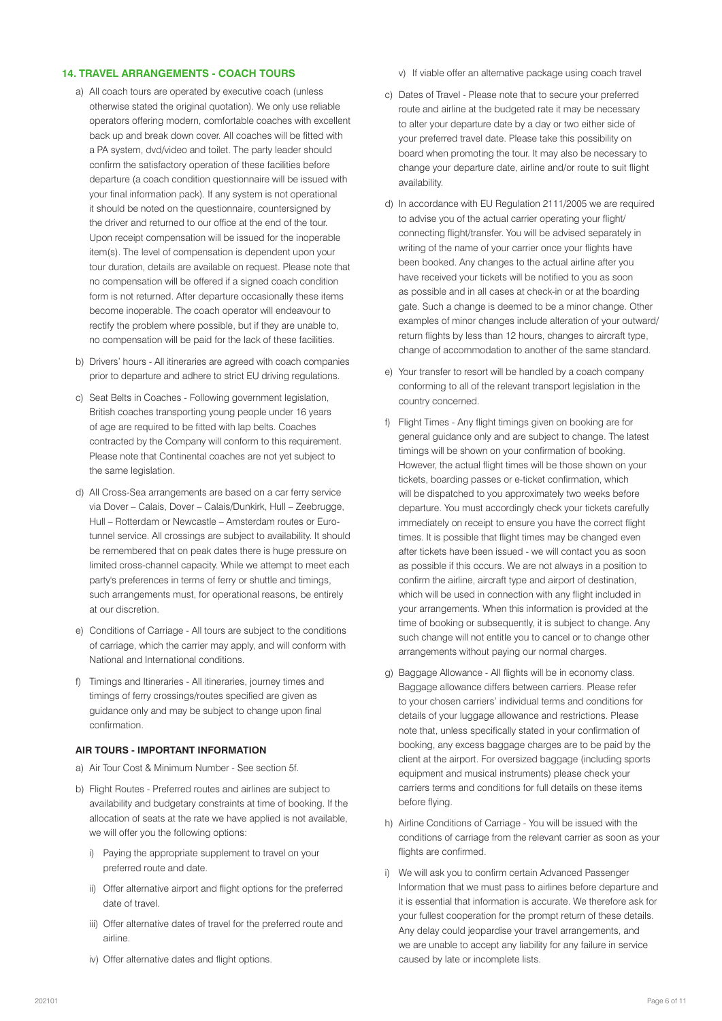# **14. TRAVEL ARRANGEMENTS - COACH TOURS**

- a) All coach tours are operated by executive coach (unless otherwise stated the original quotation). We only use reliable operators offering modern, comfortable coaches with excellent back up and break down cover. All coaches will be fitted with a PA system, dvd/video and toilet. The party leader should confirm the satisfactory operation of these facilities before departure (a coach condition questionnaire will be issued with your final information pack). If any system is not operational it should be noted on the questionnaire, countersigned by the driver and returned to our office at the end of the tour. Upon receipt compensation will be issued for the inoperable item(s). The level of compensation is dependent upon your tour duration, details are available on request. Please note that no compensation will be offered if a signed coach condition form is not returned. After departure occasionally these items become inoperable. The coach operator will endeavour to rectify the problem where possible, but if they are unable to, no compensation will be paid for the lack of these facilities.
- b) Drivers' hours All itineraries are agreed with coach companies prior to departure and adhere to strict EU driving regulations.
- c) Seat Belts in Coaches Following government legislation, British coaches transporting young people under 16 years of age are required to be fitted with lap belts. Coaches contracted by the Company will conform to this requirement. Please note that Continental coaches are not yet subject to the same legislation.
- d) All Cross-Sea arrangements are based on a car ferry service via Dover – Calais, Dover – Calais/Dunkirk, Hull – Zeebrugge, Hull – Rotterdam or Newcastle – Amsterdam routes or Eurotunnel service. All crossings are subject to availability. It should be remembered that on peak dates there is huge pressure on limited cross-channel capacity. While we attempt to meet each party's preferences in terms of ferry or shuttle and timings, such arrangements must, for operational reasons, be entirely at our discretion.
- e) Conditions of Carriage All tours are subject to the conditions of carriage, which the carrier may apply, and will conform with National and International conditions.
- f) Timings and Itineraries All itineraries, journey times and timings of ferry crossings/routes specified are given as guidance only and may be subject to change upon final confirmation.

### **AIR TOURS - IMPORTANT INFORMATION**

- a) Air Tour Cost & Minimum Number See section 5f.
- b) Flight Routes Preferred routes and airlines are subject to availability and budgetary constraints at time of booking. If the allocation of seats at the rate we have applied is not available, we will offer you the following options:
	- i) Paying the appropriate supplement to travel on your preferred route and date.
	- ii) Offer alternative airport and flight options for the preferred date of travel.
	- iii) Offer alternative dates of travel for the preferred route and airline.
	- iv) Offer alternative dates and flight options.

v) If viable offer an alternative package using coach travel

- c) Dates of Travel Please note that to secure your preferred route and airline at the budgeted rate it may be necessary to alter your departure date by a day or two either side of your preferred travel date. Please take this possibility on board when promoting the tour. It may also be necessary to change your departure date, airline and/or route to suit flight availability.
- d) In accordance with EU Regulation 2111/2005 we are required to advise you of the actual carrier operating your flight/ connecting flight/transfer. You will be advised separately in writing of the name of your carrier once your flights have been booked. Any changes to the actual airline after you have received your tickets will be notified to you as soon as possible and in all cases at check-in or at the boarding gate. Such a change is deemed to be a minor change. Other examples of minor changes include alteration of your outward/ return flights by less than 12 hours, changes to aircraft type, change of accommodation to another of the same standard.
- e) Your transfer to resort will be handled by a coach company conforming to all of the relevant transport legislation in the country concerned.
- f) Flight Times Any flight timings given on booking are for general guidance only and are subject to change. The latest timings will be shown on your confirmation of booking. However, the actual flight times will be those shown on your tickets, boarding passes or e-ticket confirmation, which will be dispatched to you approximately two weeks before departure. You must accordingly check your tickets carefully immediately on receipt to ensure you have the correct flight times. It is possible that flight times may be changed even after tickets have been issued - we will contact you as soon as possible if this occurs. We are not always in a position to confirm the airline, aircraft type and airport of destination, which will be used in connection with any flight included in your arrangements. When this information is provided at the time of booking or subsequently, it is subject to change. Any such change will not entitle you to cancel or to change other arrangements without paying our normal charges.
- g) Baggage Allowance All flights will be in economy class. Baggage allowance differs between carriers. Please refer to your chosen carriers' individual terms and conditions for details of your luggage allowance and restrictions. Please note that, unless specifically stated in your confirmation of booking, any excess baggage charges are to be paid by the client at the airport. For oversized baggage (including sports equipment and musical instruments) please check your carriers terms and conditions for full details on these items before flying.
- h) Airline Conditions of Carriage You will be issued with the conditions of carriage from the relevant carrier as soon as your flights are confirmed.
- i) We will ask you to confirm certain Advanced Passenger Information that we must pass to airlines before departure and it is essential that information is accurate. We therefore ask for your fullest cooperation for the prompt return of these details. Any delay could jeopardise your travel arrangements, and we are unable to accept any liability for any failure in service caused by late or incomplete lists.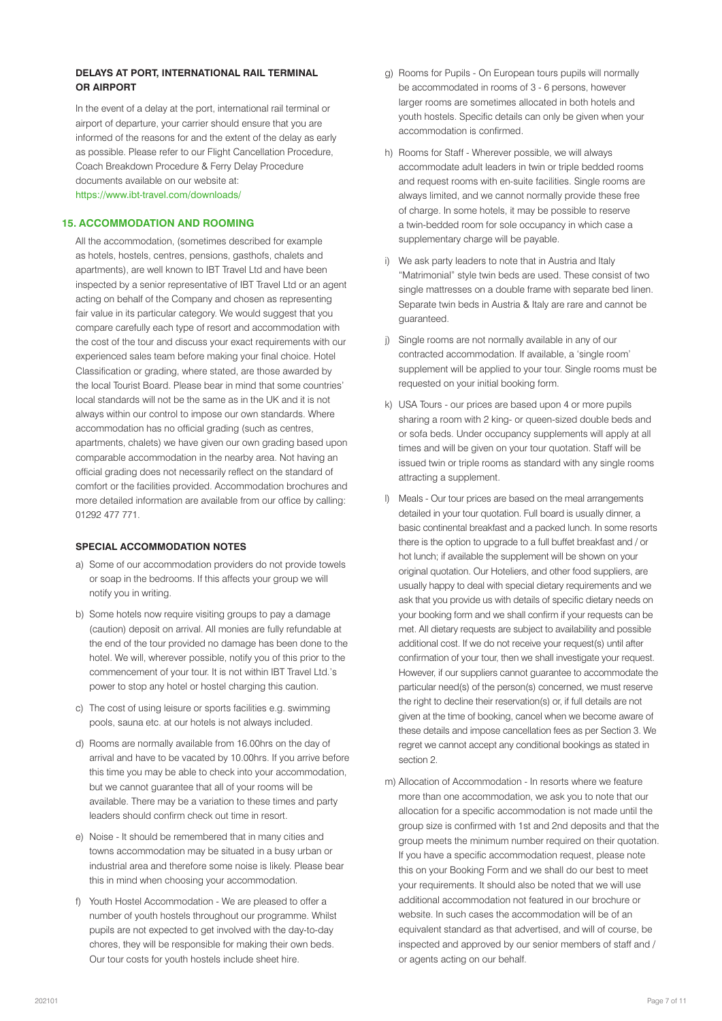# **DELAYS AT PORT, INTERNATIONAL RAIL TERMINAL OR AIRPORT**

In the event of a delay at the port, international rail terminal or airport of departure, your carrier should ensure that you are informed of the reasons for and the extent of the delay as early as possible. Please refer to our Flight Cancellation Procedure, Coach Breakdown Procedure & Ferry Delay Procedure documents available on our website at: https://www.ibt-travel.com/downloads/

# **15. ACCOMMODATION AND ROOMING**

All the accommodation, (sometimes described for example as hotels, hostels, centres, pensions, gasthofs, chalets and apartments), are well known to IBT Travel Ltd and have been inspected by a senior representative of IBT Travel Ltd or an agent acting on behalf of the Company and chosen as representing fair value in its particular category. We would suggest that you compare carefully each type of resort and accommodation with the cost of the tour and discuss your exact requirements with our experienced sales team before making your final choice. Hotel Classification or grading, where stated, are those awarded by the local Tourist Board. Please bear in mind that some countries' local standards will not be the same as in the UK and it is not always within our control to impose our own standards. Where accommodation has no official grading (such as centres, apartments, chalets) we have given our own grading based upon comparable accommodation in the nearby area. Not having an official grading does not necessarily reflect on the standard of comfort or the facilities provided. Accommodation brochures and more detailed information are available from our office by calling: 01292 477 771.

### **SPECIAL ACCOMMODATION NOTES**

- a) Some of our accommodation providers do not provide towels or soap in the bedrooms. If this affects your group we will notify you in writing.
- b) Some hotels now require visiting groups to pay a damage (caution) deposit on arrival. All monies are fully refundable at the end of the tour provided no damage has been done to the hotel. We will, wherever possible, notify you of this prior to the commencement of your tour. It is not within IBT Travel Ltd.'s power to stop any hotel or hostel charging this caution.
- c) The cost of using leisure or sports facilities e.g. swimming pools, sauna etc. at our hotels is not always included.
- d) Rooms are normally available from 16.00hrs on the day of arrival and have to be vacated by 10.00hrs. If you arrive before this time you may be able to check into your accommodation, but we cannot guarantee that all of your rooms will be available. There may be a variation to these times and party leaders should confirm check out time in resort.
- e) Noise It should be remembered that in many cities and towns accommodation may be situated in a busy urban or industrial area and therefore some noise is likely. Please bear this in mind when choosing your accommodation.
- f) Youth Hostel Accommodation We are pleased to offer a number of youth hostels throughout our programme. Whilst pupils are not expected to get involved with the day-to-day chores, they will be responsible for making their own beds. Our tour costs for youth hostels include sheet hire.
- g) Rooms for Pupils On European tours pupils will normally be accommodated in rooms of 3 - 6 persons, however larger rooms are sometimes allocated in both hotels and youth hostels. Specific details can only be given when your accommodation is confirmed.
- h) Rooms for Staff Wherever possible, we will always accommodate adult leaders in twin or triple bedded rooms and request rooms with en-suite facilities. Single rooms are always limited, and we cannot normally provide these free of charge. In some hotels, it may be possible to reserve a twin-bedded room for sole occupancy in which case a supplementary charge will be payable.
- i) We ask party leaders to note that in Austria and Italy "Matrimonial" style twin beds are used. These consist of two single mattresses on a double frame with separate bed linen. Separate twin beds in Austria & Italy are rare and cannot be guaranteed.
- j) Single rooms are not normally available in any of our contracted accommodation. If available, a 'single room' supplement will be applied to your tour. Single rooms must be requested on your initial booking form.
- k) USA Tours our prices are based upon 4 or more pupils sharing a room with 2 king- or queen-sized double beds and or sofa beds. Under occupancy supplements will apply at all times and will be given on your tour quotation. Staff will be issued twin or triple rooms as standard with any single rooms attracting a supplement.
- l) Meals Our tour prices are based on the meal arrangements detailed in your tour quotation. Full board is usually dinner, a basic continental breakfast and a packed lunch. In some resorts there is the option to upgrade to a full buffet breakfast and / or hot lunch; if available the supplement will be shown on your original quotation. Our Hoteliers, and other food suppliers, are usually happy to deal with special dietary requirements and we ask that you provide us with details of specific dietary needs on your booking form and we shall confirm if your requests can be met. All dietary requests are subject to availability and possible additional cost. If we do not receive your request(s) until after confirmation of your tour, then we shall investigate your request. However, if our suppliers cannot guarantee to accommodate the particular need(s) of the person(s) concerned, we must reserve the right to decline their reservation(s) or, if full details are not given at the time of booking, cancel when we become aware of these details and impose cancellation fees as per Section 3. We regret we cannot accept any conditional bookings as stated in section 2.
- m) Allocation of Accommodation In resorts where we feature more than one accommodation, we ask you to note that our allocation for a specific accommodation is not made until the group size is confirmed with 1st and 2nd deposits and that the group meets the minimum number required on their quotation. If you have a specific accommodation request, please note this on your Booking Form and we shall do our best to meet your requirements. It should also be noted that we will use additional accommodation not featured in our brochure or website. In such cases the accommodation will be of an equivalent standard as that advertised, and will of course, be inspected and approved by our senior members of staff and / or agents acting on our behalf.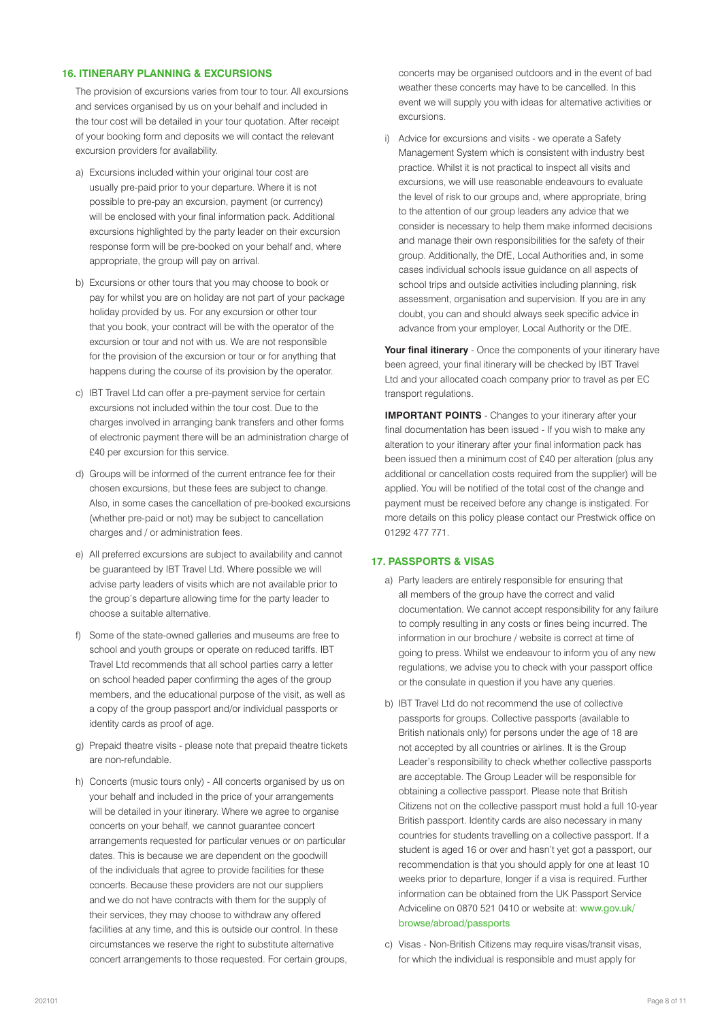# **16. ITINERARY PLANNING & EXCURSIONS**

The provision of excursions varies from tour to tour. All excursions and services organised by us on your behalf and included in the tour cost will be detailed in your tour quotation. After receipt of your booking form and deposits we will contact the relevant excursion providers for availability.

- a) Excursions included within your original tour cost are usually pre-paid prior to your departure. Where it is not possible to pre-pay an excursion, payment (or currency) will be enclosed with your final information pack. Additional excursions highlighted by the party leader on their excursion response form will be pre-booked on your behalf and, where appropriate, the group will pay on arrival.
- b) Excursions or other tours that you may choose to book or pay for whilst you are on holiday are not part of your package holiday provided by us. For any excursion or other tour that you book, your contract will be with the operator of the excursion or tour and not with us. We are not responsible for the provision of the excursion or tour or for anything that happens during the course of its provision by the operator.
- c) IBT Travel Ltd can offer a pre-payment service for certain excursions not included within the tour cost. Due to the charges involved in arranging bank transfers and other forms of electronic payment there will be an administration charge of £40 per excursion for this service.
- d) Groups will be informed of the current entrance fee for their chosen excursions, but these fees are subject to change. Also, in some cases the cancellation of pre-booked excursions (whether pre-paid or not) may be subject to cancellation charges and / or administration fees.
- e) All preferred excursions are subject to availability and cannot be guaranteed by IBT Travel Ltd. Where possible we will advise party leaders of visits which are not available prior to the group's departure allowing time for the party leader to choose a suitable alternative.
- f) Some of the state-owned galleries and museums are free to school and youth groups or operate on reduced tariffs. IBT Travel Ltd recommends that all school parties carry a letter on school headed paper confirming the ages of the group members, and the educational purpose of the visit, as well as a copy of the group passport and/or individual passports or identity cards as proof of age.
- g) Prepaid theatre visits please note that prepaid theatre tickets are non-refundable.
- h) Concerts (music tours only) All concerts organised by us on your behalf and included in the price of your arrangements will be detailed in your itinerary. Where we agree to organise concerts on your behalf, we cannot guarantee concert arrangements requested for particular venues or on particular dates. This is because we are dependent on the goodwill of the individuals that agree to provide facilities for these concerts. Because these providers are not our suppliers and we do not have contracts with them for the supply of their services, they may choose to withdraw any offered facilities at any time, and this is outside our control. In these circumstances we reserve the right to substitute alternative concert arrangements to those requested. For certain groups,

concerts may be organised outdoors and in the event of bad weather these concerts may have to be cancelled. In this event we will supply you with ideas for alternative activities or excursions.

i) Advice for excursions and visits - we operate a Safety Management System which is consistent with industry best practice. Whilst it is not practical to inspect all visits and excursions, we will use reasonable endeavours to evaluate the level of risk to our groups and, where appropriate, bring to the attention of our group leaders any advice that we consider is necessary to help them make informed decisions and manage their own responsibilities for the safety of their group. Additionally, the DfE, Local Authorities and, in some cases individual schools issue guidance on all aspects of school trips and outside activities including planning, risk assessment, organisation and supervision. If you are in any doubt, you can and should always seek specific advice in advance from your employer, Local Authority or the DfE.

**Your final itinerary** - Once the components of your itinerary have been agreed, your final itinerary will be checked by IBT Travel Ltd and your allocated coach company prior to travel as per EC transport regulations.

**IMPORTANT POINTS** - Changes to your itinerary after your final documentation has been issued - If you wish to make any alteration to your itinerary after your final information pack has been issued then a minimum cost of £40 per alteration (plus any additional or cancellation costs required from the supplier) will be applied. You will be notified of the total cost of the change and payment must be received before any change is instigated. For more details on this policy please contact our Prestwick office on 01292 477 771.

#### **17. PASSPORTS & VISAS**

- a) Party leaders are entirely responsible for ensuring that all members of the group have the correct and valid documentation. We cannot accept responsibility for any failure to comply resulting in any costs or fines being incurred. The information in our brochure / website is correct at time of going to press. Whilst we endeavour to inform you of any new regulations, we advise you to check with your passport office or the consulate in question if you have any queries.
- b) IBT Travel Ltd do not recommend the use of collective passports for groups. Collective passports (available to British nationals only) for persons under the age of 18 are not accepted by all countries or airlines. It is the Group Leader's responsibility to check whether collective passports are acceptable. The Group Leader will be responsible for obtaining a collective passport. Please note that British Citizens not on the collective passport must hold a full 10-year British passport. Identity cards are also necessary in many countries for students travelling on a collective passport. If a student is aged 16 or over and hasn't yet got a passport, our recommendation is that you should apply for one at least 10 weeks prior to departure, longer if a visa is required. Further information can be obtained from the UK Passport Service Adviceline on 0870 521 0410 or website at: www.gov.uk/ browse/abroad/passports
- c) Visas Non-British Citizens may require visas/transit visas, for which the individual is responsible and must apply for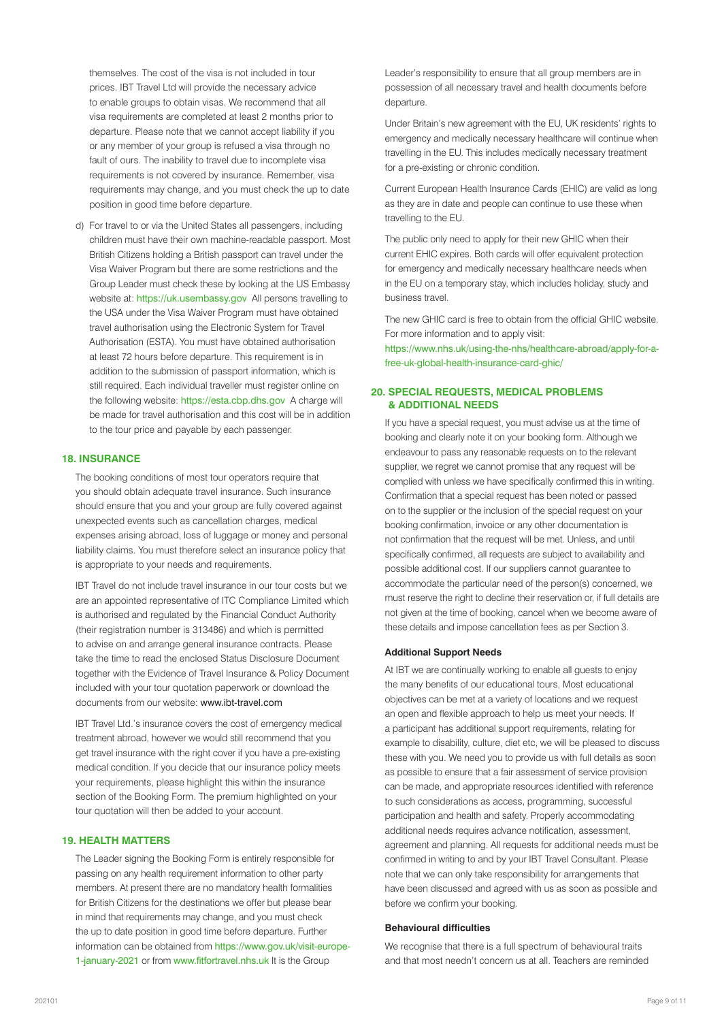themselves. The cost of the visa is not included in tour prices. IBT Travel Ltd will provide the necessary advice to enable groups to obtain visas. We recommend that all visa requirements are completed at least 2 months prior to departure. Please note that we cannot accept liability if you or any member of your group is refused a visa through no fault of ours. The inability to travel due to incomplete visa requirements is not covered by insurance. Remember, visa requirements may change, and you must check the up to date position in good time before departure.

d) For travel to or via the United States all passengers, including children must have their own machine-readable passport. Most British Citizens holding a British passport can travel under the Visa Waiver Program but there are some restrictions and the Group Leader must check these by looking at the US Embassy website at: https://uk.usembassy.gov All persons travelling to the USA under the Visa Waiver Program must have obtained travel authorisation using the Electronic System for Travel Authorisation (ESTA). You must have obtained authorisation at least 72 hours before departure. This requirement is in addition to the submission of passport information, which is still required. Each individual traveller must register online on the following website: https://esta.cbp.dhs.gov A charge will be made for travel authorisation and this cost will be in addition to the tour price and payable by each passenger.

#### **18. INSURANCE**

The booking conditions of most tour operators require that you should obtain adequate travel insurance. Such insurance should ensure that you and your group are fully covered against unexpected events such as cancellation charges, medical expenses arising abroad, loss of luggage or money and personal liability claims. You must therefore select an insurance policy that is appropriate to your needs and requirements.

IBT Travel do not include travel insurance in our tour costs but we are an appointed representative of ITC Compliance Limited which is authorised and regulated by the Financial Conduct Authority (their registration number is 313486) and which is permitted to advise on and arrange general insurance contracts. Please take the time to read the enclosed Status Disclosure Document together with the Evidence of Travel Insurance & Policy Document included with your tour quotation paperwork or download the documents from our website: www.ibt-travel.com

IBT Travel Ltd.'s insurance covers the cost of emergency medical treatment abroad, however we would still recommend that you get travel insurance with the right cover if you have a pre-existing medical condition. If you decide that our insurance policy meets your requirements, please highlight this within the insurance section of the Booking Form. The premium highlighted on your tour quotation will then be added to your account.

# **19. HEALTH MATTERS**

The Leader signing the Booking Form is entirely responsible for passing on any health requirement information to other party members. At present there are no mandatory health formalities for British Citizens for the destinations we offer but please bear in mind that requirements may change, and you must check the up to date position in good time before departure. Further information can be obtained from https://www.gov.uk/visit-europe-1-january-2021 or from www.fitfortravel.nhs.uk It is the Group

Leader's responsibility to ensure that all group members are in possession of all necessary travel and health documents before departure.

Under Britain's new agreement with the EU, UK residents' rights to emergency and medically necessary healthcare will continue when travelling in the EU. This includes medically necessary treatment for a pre-existing or chronic condition.

Current European Health Insurance Cards (EHIC) are valid as long as they are in date and people can continue to use these when travelling to the EU.

The public only need to apply for their new GHIC when their current EHIC expires. Both cards will offer equivalent protection for emergency and medically necessary healthcare needs when in the EU on a temporary stay, which includes holiday, study and business travel.

The new GHIC card is free to obtain from the official GHIC website. For more information and to apply visit:

https://www.nhs.uk/using-the-nhs/healthcare-abroad/apply-for-afree-uk-global-health-insurance-card-ghic/

## **20. SPECIAL REQUESTS, MEDICAL PROBLEMS & ADDITIONAL NEEDS**

If you have a special request, you must advise us at the time of booking and clearly note it on your booking form. Although we endeavour to pass any reasonable requests on to the relevant supplier, we regret we cannot promise that any request will be complied with unless we have specifically confirmed this in writing. Confirmation that a special request has been noted or passed on to the supplier or the inclusion of the special request on your booking confirmation, invoice or any other documentation is not confirmation that the request will be met. Unless, and until specifically confirmed, all requests are subject to availability and possible additional cost. If our suppliers cannot guarantee to accommodate the particular need of the person(s) concerned, we must reserve the right to decline their reservation or, if full details are not given at the time of booking, cancel when we become aware of these details and impose cancellation fees as per Section 3.

#### **Additional Support Needs**

At IBT we are continually working to enable all guests to enjoy the many benefits of our educational tours. Most educational objectives can be met at a variety of locations and we request an open and flexible approach to help us meet your needs. If a participant has additional support requirements, relating for example to disability, culture, diet etc, we will be pleased to discuss these with you. We need you to provide us with full details as soon as possible to ensure that a fair assessment of service provision can be made, and appropriate resources identified with reference to such considerations as access, programming, successful participation and health and safety. Properly accommodating additional needs requires advance notification, assessment, agreement and planning. All requests for additional needs must be confirmed in writing to and by your IBT Travel Consultant. Please note that we can only take responsibility for arrangements that have been discussed and agreed with us as soon as possible and before we confirm your booking.

#### **Behavioural difficulties**

We recognise that there is a full spectrum of behavioural traits and that most needn't concern us at all. Teachers are reminded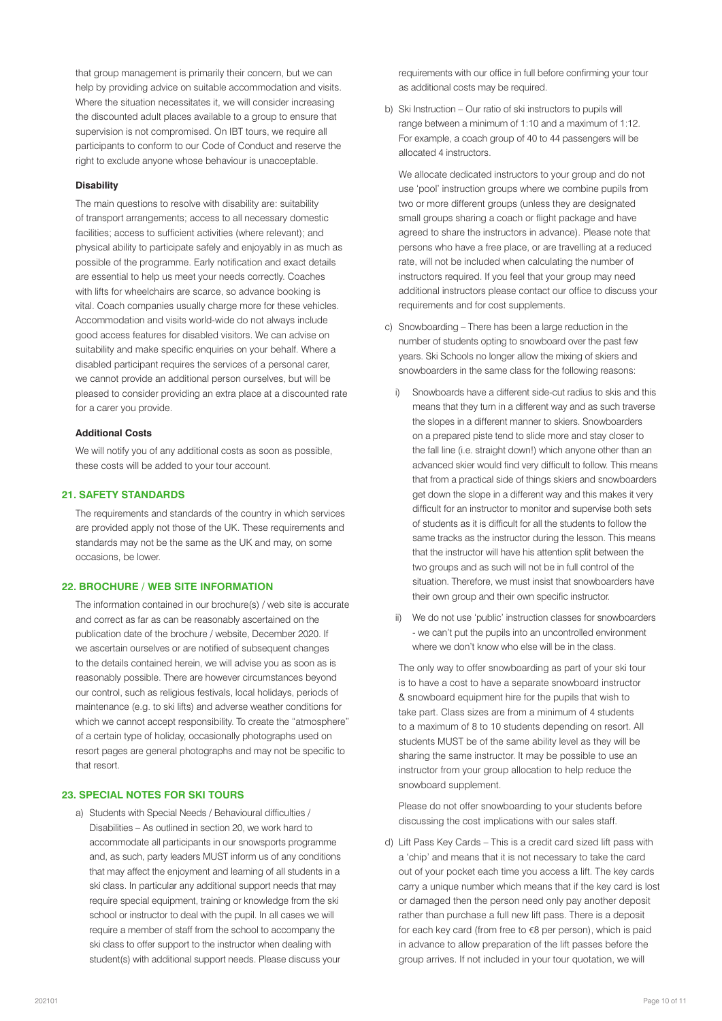that group management is primarily their concern, but we can help by providing advice on suitable accommodation and visits. Where the situation necessitates it, we will consider increasing the discounted adult places available to a group to ensure that supervision is not compromised. On IBT tours, we require all participants to conform to our Code of Conduct and reserve the right to exclude anyone whose behaviour is unacceptable.

#### **Disability**

The main questions to resolve with disability are: suitability of transport arrangements; access to all necessary domestic facilities; access to sufficient activities (where relevant); and physical ability to participate safely and enjoyably in as much as possible of the programme. Early notification and exact details are essential to help us meet your needs correctly. Coaches with lifts for wheelchairs are scarce, so advance booking is vital. Coach companies usually charge more for these vehicles. Accommodation and visits world-wide do not always include good access features for disabled visitors. We can advise on suitability and make specific enquiries on your behalf. Where a disabled participant requires the services of a personal carer, we cannot provide an additional person ourselves, but will be pleased to consider providing an extra place at a discounted rate for a carer you provide.

#### **Additional Costs**

We will notify you of any additional costs as soon as possible, these costs will be added to your tour account.

#### **21. SAFETY STANDARDS**

The requirements and standards of the country in which services are provided apply not those of the UK. These requirements and standards may not be the same as the UK and may, on some occasions, be lower.

# **22. BROCHURE / WEB SITE INFORMATION**

The information contained in our brochure(s) / web site is accurate and correct as far as can be reasonably ascertained on the publication date of the brochure / website, December 2020. If we ascertain ourselves or are notified of subsequent changes to the details contained herein, we will advise you as soon as is reasonably possible. There are however circumstances beyond our control, such as religious festivals, local holidays, periods of maintenance (e.g. to ski lifts) and adverse weather conditions for which we cannot accept responsibility. To create the "atmosphere" of a certain type of holiday, occasionally photographs used on resort pages are general photographs and may not be specific to that resort.

# **23. SPECIAL NOTES FOR SKI TOURS**

a) Students with Special Needs / Behavioural difficulties / Disabilities – As outlined in section 20, we work hard to accommodate all participants in our snowsports programme and, as such, party leaders MUST inform us of any conditions that may affect the enjoyment and learning of all students in a ski class. In particular any additional support needs that may require special equipment, training or knowledge from the ski school or instructor to deal with the pupil. In all cases we will require a member of staff from the school to accompany the ski class to offer support to the instructor when dealing with student(s) with additional support needs. Please discuss your

requirements with our office in full before confirming your tour as additional costs may be required.

b) Ski Instruction – Our ratio of ski instructors to pupils will range between a minimum of 1:10 and a maximum of 1:12. For example, a coach group of 40 to 44 passengers will be allocated 4 instructors.

We allocate dedicated instructors to your group and do not use 'pool' instruction groups where we combine pupils from two or more different groups (unless they are designated small groups sharing a coach or flight package and have agreed to share the instructors in advance). Please note that persons who have a free place, or are travelling at a reduced rate, will not be included when calculating the number of instructors required. If you feel that your group may need additional instructors please contact our office to discuss your requirements and for cost supplements.

- c) Snowboarding There has been a large reduction in the number of students opting to snowboard over the past few years. Ski Schools no longer allow the mixing of skiers and snowboarders in the same class for the following reasons:
	- i) Snowboards have a different side-cut radius to skis and this means that they turn in a different way and as such traverse the slopes in a different manner to skiers. Snowboarders on a prepared piste tend to slide more and stay closer to the fall line (i.e. straight down!) which anyone other than an advanced skier would find very difficult to follow. This means that from a practical side of things skiers and snowboarders get down the slope in a different way and this makes it very difficult for an instructor to monitor and supervise both sets of students as it is difficult for all the students to follow the same tracks as the instructor during the lesson. This means that the instructor will have his attention split between the two groups and as such will not be in full control of the situation. Therefore, we must insist that snowboarders have their own group and their own specific instructor.
	- ii) We do not use 'public' instruction classes for snowboarders - we can't put the pupils into an uncontrolled environment where we don't know who else will be in the class.

The only way to offer snowboarding as part of your ski tour is to have a cost to have a separate snowboard instructor & snowboard equipment hire for the pupils that wish to take part. Class sizes are from a minimum of 4 students to a maximum of 8 to 10 students depending on resort. All students MUST be of the same ability level as they will be sharing the same instructor. It may be possible to use an instructor from your group allocation to help reduce the snowboard supplement.

Please do not offer snowboarding to your students before discussing the cost implications with our sales staff.

d) Lift Pass Key Cards – This is a credit card sized lift pass with a 'chip' and means that it is not necessary to take the card out of your pocket each time you access a lift. The key cards carry a unique number which means that if the key card is lost or damaged then the person need only pay another deposit rather than purchase a full new lift pass. There is a deposit for each key card (from free to  $\epsilon$ 8 per person), which is paid in advance to allow preparation of the lift passes before the group arrives. If not included in your tour quotation, we will